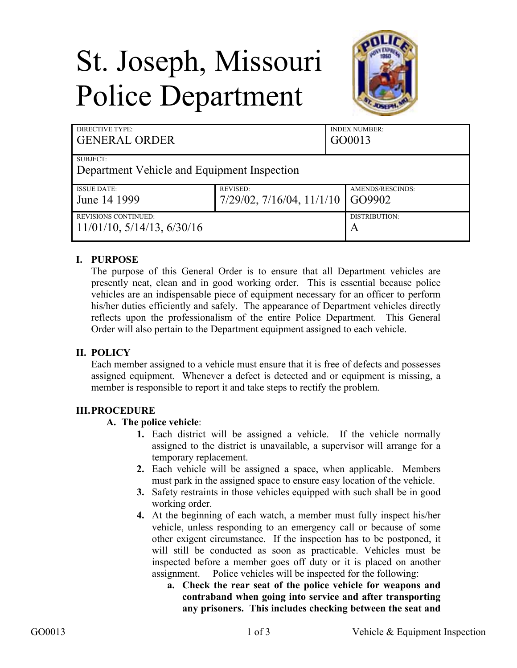# St. Joseph, Missouri Police Department



| <b>DIRECTIVE TYPE:</b><br><b>GENERAL ORDER</b> |                                   | <b>INDEX NUMBER:</b><br>GO0013 |
|------------------------------------------------|-----------------------------------|--------------------------------|
| SUBJECT:                                       |                                   |                                |
| Department Vehicle and Equipment Inspection    |                                   |                                |
| <b>ISSUE DATE:</b>                             | <b>REVISED:</b>                   | AMENDS/RESCINDS:               |
| June 14 1999                                   | $7/29/02$ , $7/16/04$ , $11/1/10$ | GO9902                         |
| REVISIONS CONTINUED:                           |                                   | DISTRIBUTION:                  |
| $11/01/10$ , $5/14/13$ , $6/30/16$             |                                   | A                              |

## **I. PURPOSE**

The purpose of this General Order is to ensure that all Department vehicles are presently neat, clean and in good working order. This is essential because police vehicles are an indispensable piece of equipment necessary for an officer to perform his/her duties efficiently and safely. The appearance of Department vehicles directly reflects upon the professionalism of the entire Police Department. This General Order will also pertain to the Department equipment assigned to each vehicle.

## **II. POLICY**

Each member assigned to a vehicle must ensure that it is free of defects and possesses assigned equipment. Whenever a defect is detected and or equipment is missing, a member is responsible to report it and take steps to rectify the problem.

## **III.PROCEDURE**

## **A. The police vehicle**:

- **1.** Each district will be assigned a vehicle. If the vehicle normally assigned to the district is unavailable, a supervisor will arrange for a temporary replacement.
- **2.** Each vehicle will be assigned a space, when applicable. Members must park in the assigned space to ensure easy location of the vehicle.
- **3.** Safety restraints in those vehicles equipped with such shall be in good working order.
- **4.** At the beginning of each watch, a member must fully inspect his/her vehicle, unless responding to an emergency call or because of some other exigent circumstance. If the inspection has to be postponed, it will still be conducted as soon as practicable. Vehicles must be inspected before a member goes off duty or it is placed on another assignment. Police vehicles will be inspected for the following:
	- **a. Check the rear seat of the police vehicle for weapons and contraband when going into service and after transporting any prisoners. This includes checking between the seat and**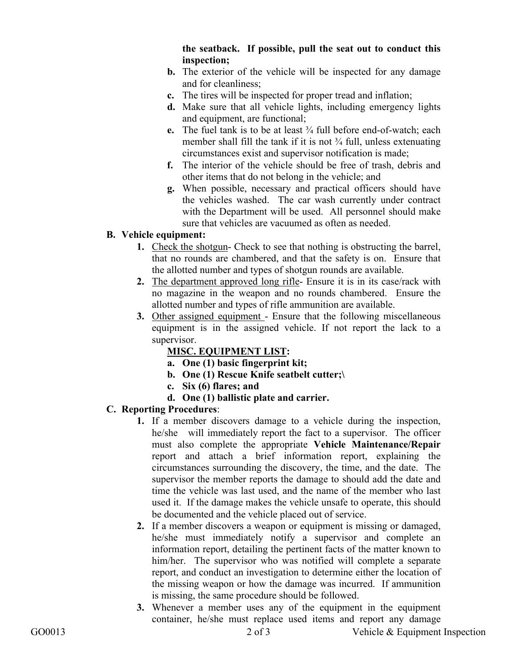## **the seatback. If possible, pull the seat out to conduct this inspection;**

- **b.** The exterior of the vehicle will be inspected for any damage and for cleanliness;
- **c.** The tires will be inspected for proper tread and inflation;
- **d.** Make sure that all vehicle lights, including emergency lights and equipment, are functional;
- **e.** The fuel tank is to be at least ¾ full before end-of-watch; each member shall fill the tank if it is not  $\frac{3}{4}$  full, unless extenuating circumstances exist and supervisor notification is made;
- **f.** The interior of the vehicle should be free of trash, debris and other items that do not belong in the vehicle; and
- **g.** When possible, necessary and practical officers should have the vehicles washed. The car wash currently under contract with the Department will be used. All personnel should make sure that vehicles are vacuumed as often as needed.

## **B. Vehicle equipment:**

- **1.** Check the shotgun- Check to see that nothing is obstructing the barrel, that no rounds are chambered, and that the safety is on. Ensure that the allotted number and types of shotgun rounds are available.
- **2.** The department approved long rifle- Ensure it is in its case/rack with no magazine in the weapon and no rounds chambered. Ensure the allotted number and types of rifle ammunition are available.
- **3.** Other assigned equipment Ensure that the following miscellaneous equipment is in the assigned vehicle. If not report the lack to a supervisor.

## **MISC. EQUIPMENT LIST:**

- **a. One (1) basic fingerprint kit;**
- **b. One (1) Rescue Knife seatbelt cutter;\**
- **c. Six (6) flares; and**
- **d. One (1) ballistic plate and carrier.**

## **C. Reporting Procedures**:

- **1.** If a member discovers damage to a vehicle during the inspection, he/she will immediately report the fact to a supervisor. The officer must also complete the appropriate **Vehicle Maintenance/Repair**  report and attach a brief information report, explaining the circumstances surrounding the discovery, the time, and the date. The supervisor the member reports the damage to should add the date and time the vehicle was last used, and the name of the member who last used it. If the damage makes the vehicle unsafe to operate, this should be documented and the vehicle placed out of service.
- **2.** If a member discovers a weapon or equipment is missing or damaged, he/she must immediately notify a supervisor and complete an information report, detailing the pertinent facts of the matter known to him/her. The supervisor who was notified will complete a separate report, and conduct an investigation to determine either the location of the missing weapon or how the damage was incurred. If ammunition is missing, the same procedure should be followed.
- **3.** Whenever a member uses any of the equipment in the equipment container, he/she must replace used items and report any damage